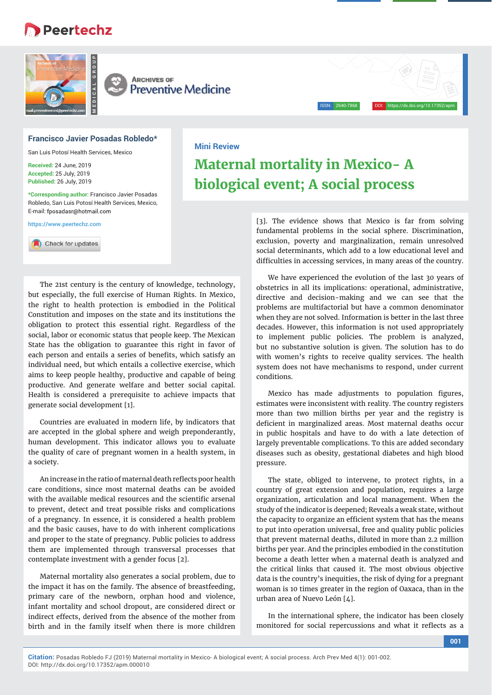# **Peertechz**



#### **Francisco Javier Posadas Robledo\***

San Luis Potosí Health Services, Mexico

**Received:** 24 June, 2019 **Accepted:** 25 July, 2019 **Published:** 26 July, 2019

**\*Corresponding author:** Francisco Javier Posadas Robledo, San Luis Potosí Health Services, Mexico, E-mail: fposadasr@hotmail.com

**https://www.peertechz.com**

Check for updates

The 21st century is the century of knowledge, technology, but especially, the full exercise of Human Rights. In Mexico, the right to health protection is embodied in the Political Constitution and imposes on the state and its institutions the obligation to protect this essential right. Regardless of the social, labor or economic status that people keep. The Mexican State has the obligation to guarantee this right in favor of each person and entails a series of benefits, which satisfy an individual need, but which entails a collective exercise, which aims to keep people healthy, productive and capable of being productive. And generate welfare and better social capital. Health is considered a prerequisite to achieve impacts that generate social development [1].

Countries are evaluated in modern life, by indicators that are accepted in the global sphere and weigh preponderantly, human development. This indicator allows you to evaluate the quality of care of pregnant women in a health system, in a society.

An increase in the ratio of maternal death reflects poor health care conditions, since most maternal deaths can be avoided with the available medical resources and the scientific arsenal to prevent, detect and treat possible risks and complications of a pregnancy. In essence, it is considered a health problem and the basic causes, have to do with inherent complications and proper to the state of pregnancy. Public policies to address them are implemented through transversal processes that contemplate investment with a gender focus [2].

Maternal mortality also generates a social problem, due to the impact it has on the family. The absence of breastfeeding, primary care of the newborn, orphan hood and violence, infant mortality and school dropout, are considered direct or indirect effects, derived from the absence of the mother from birth and in the family itself when there is more children

## **Mini Review Maternal mortality in Mexico- A**

**biological event; A social process**

[3]. The evidence shows that Mexico is far from solving fundamental problems in the social sphere. Discrimination, exclusion, poverty and marginalization, remain unresolved social determinants, which add to a low educational level and difficulties in accessing services, in many areas of the country.

ISSN: 2640-7868 DOI: https://dx.doi.org/10.17352/apm

We have experienced the evolution of the last 30 years of obstetrics in all its implications: operational, administrative, directive and decision-making and we can see that the problems are multifactorial but have a common denominator when they are not solved. Information is better in the last three decades. However, this information is not used appropriately to implement public policies. The problem is analyzed, but no substantive solution is given. The solution has to do with women's rights to receive quality services. The health system does not have mechanisms to respond, under current conditions.

Mexico has made adjustments to population figures, estimates were inconsistent with reality. The country registers more than two million births per year and the registry is deficient in marginalized areas. Most maternal deaths occur in public hospitals and have to do with a late detection of largely preventable complications. To this are added secondary diseases such as obesity, gestational diabetes and high blood pressure.

The state, obliged to intervene, to protect rights, in a country of great extension and population, requires a large organization, articulation and local management. When the study of the indicator is deepened; Reveals a weak state, without the capacity to organize an efficient system that has the means to put into operation universal, free and quality public policies that prevent maternal deaths, diluted in more than 2.2 million births per year. And the principles embodied in the constitution become a death letter when a maternal death is analyzed and the critical links that caused it. The most obvious objective data is the country's inequities, the risk of dying for a pregnant woman is 10 times greater in the region of Oaxaca, than in the urban area of Nuevo León [4].

In the international sphere, the indicator has been closely monitored for social repercussions and what it reflects as a